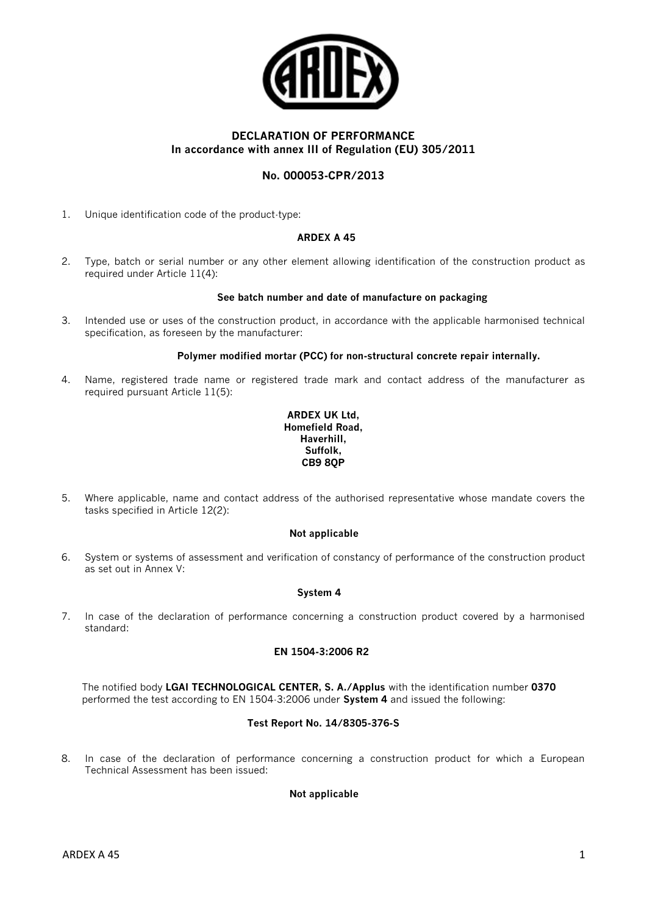

# **DECLARATION OF PERFORMANCE In accordance with annex III of Regulation (EU) 305/2011**

# **No. 000053-CPR/2013**

1. Unique identification code of the product-type:

## **ARDEX A 45**

2. Type, batch or serial number or any other element allowing identification of the construction product as required under Article 11(4):

#### **See batch number and date of manufacture on packaging**

3. Intended use or uses of the construction product, in accordance with the applicable harmonised technical specification, as foreseen by the manufacturer:

#### **Polymer modified mortar (PCC) for non-structural concrete repair internally.**

4. Name, registered trade name or registered trade mark and contact address of the manufacturer as required pursuant Article 11(5):

### **ARDEX UK Ltd, Homefield Road, Haverhill, Suffolk, CB9 8QP**

5. Where applicable, name and contact address of the authorised representative whose mandate covers the tasks specified in Article 12(2):

### **Not applicable**

6. System or systems of assessment and verification of constancy of performance of the construction product as set out in Annex V:

## **System 4**

7. In case of the declaration of performance concerning a construction product covered by a harmonised standard:

### **EN 1504-3:2006 R2**

The notified body **LGAI TECHNOLOGICAL CENTER, S. A./Applus** with the identification number **0370**  performed the test according to EN 1504-3:2006 under **System 4** and issued the following:

### **Test Report No. 14/8305-376-S**

8. In case of the declaration of performance concerning a construction product for which a European Technical Assessment has been issued:

### **Not applicable**